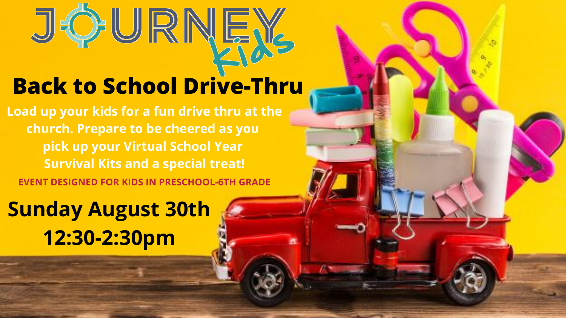# **Back to School Drive-Thru**

**Sunday August 30th 12:30-2:30pm**





**Load up your kids for a fun drive thru at the church. Prepare to be cheered as you pick up your Virtual School Year Survival Kits and a special treat! EVENT DESIGNED FOR KIDS IN PRESCHOOL-6TH GRADE**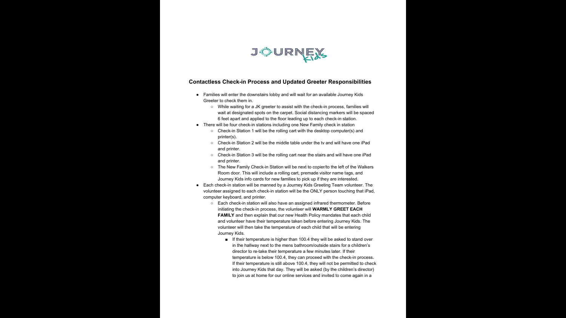

### **Contactless Check-in Process and Updated Greeter Responsibilities**

● Families will enter the downstairs lobby and will wait for an available Journey Kids

○ While waiting for a JK greeter to assist with the check-in process, families will wait at designated spots on the carpet. Social distancing markers will be spaced 6 feet apart and applied to the floor leading up to each check-in station. ● There will be four check-in stations including one New Family check in station ○ Check-in Station 1 will be the rolling cart with the desktop computer(s) and

○ Check-in Station 2 will be the middle table under the tv and will have one iPad

○ Check-in Station 3 will be the rolling cart near the stairs and will have one iPad

○ Each check-in station will also have an assigned infrared thermometer. Before initiating the check-in process, the volunteer will **WARMLY GREET EACH FAMILY** and then explain that our new Health Policy mandates that each child and volunteer have their temperature taken before entering Journey Kids. The volunteer will then take the temperature of each child that will be entering

- Greeter to check them in.
	-
- - printer(s).
	- and printer.
	- and printer.
	-
- computer keyboard, and printer.
	- Journey Kids.
		-

○ The New Family Check-in Station will be next to copier/to the left of the Walkers Room door. This will include a rolling cart, premade visitor name tags, and Journey Kids info cards for new families to pick up if they are interested. ● Each check-in station will be manned by a Journey Kids Greeting Team volunteer. The volunteer assigned to each check-in station will be the ONLY person touching that iPad,

> ■ If their temperature is higher than 100.4 they will be asked to stand over in the hallway next to the mens bathroom/outside stairs for a children's director to re-take their temperature a few minutes later. If their temperature is below 100.4, they can proceed with the check-in process. If their temperature is still above 100.4, they will not be permitted to check into Journey Kids that day. They will be asked (by the children's director) to join us at home for our online services and invited to come again in a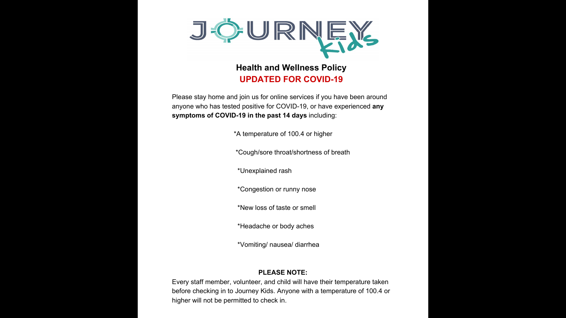

## **Health and Wellness Policy UPDATED FOR COVID-19**

Please stay home and join us for online services if you have been around anyone who has tested positive for COVID-19, or have experienced **any symptoms of COVID-19 in the past 14 days** including:

\*A temperature of 100.4 or higher

\*Cough/sore throat/shortness of breath

\*Unexplained rash

\*Congestion or runny nose

\*New loss of taste or smell

\*Headache or body aches

\*Vomiting/ nausea/ diarrhea

### **PLEASE NOTE:**

Every staff member, volunteer, and child will have their temperature taken before checking in to Journey Kids. Anyone with a temperature of 100.4 or higher will not be permitted to check in.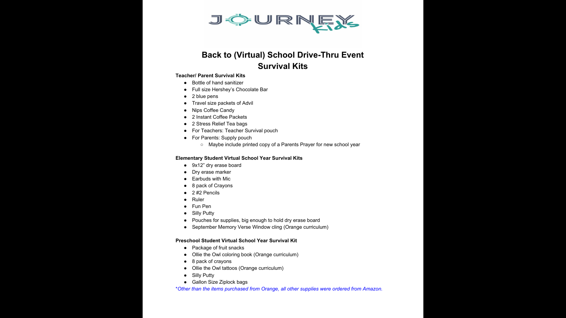

## **Back to (Virtual) School Drive-Thru Event Survival Kits**

### **Teacher/ Parent Survival Kits**

- Bottle of hand sanitizer
- Full size Hershey's Chocolate Bar
- 2 blue pens
- Travel size packets of Advil
- Nips Coffee Candy
- 2 Instant Coffee Packets
- 2 Stress Relief Tea bags
- For Teachers: Teacher Survival pouch
- For Parents: Supply pouch
	-

○ Maybe include printed copy of a Parents Prayer for new school year

### **Elementary Student Virtual School Year Survival Kits**

- 9x12" dry erase board
- Dry erase marker
- Earbuds with Mic
- 8 pack of Crayons
- $\bullet$  2 #2 Pencils
- Ruler
- Fun Pen
- Silly Putty
- Pouches for supplies, big enough to hold dry erase board
- September Memory Verse Window cling (Orange curriculum)

### **Preschool Student Virtual School Year Survival Kit**

- Package of fruit snacks
- Ollie the Owl coloring book (Orange curriculum)
- 8 pack of crayons
- Ollie the Owl tattoos (Orange curriculum)
- Silly Putty
- Gallon Size Ziplock bags

\**Other than the items purchased from Orange, all other supplies were ordered from Amazon.*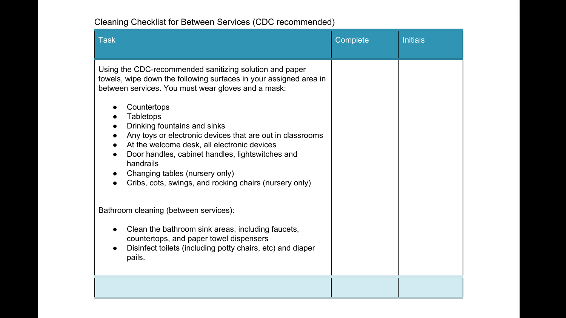### Cleaning Checklist for Between Services (CDC recommended)

- **Countertops**
- **Tabletops**
- Drinking fountains and sinks
- Any toys or electronic devices that are out
- At the welcome desk, all electronic device
- Door handles, cabinet handles, lightswitch handrails
- Changing tables (nursery only)
- Cribs, cots, swings, and rocking chairs (n

| Task                                                                                                                                                                                                                                                                                                                                                                                                                                                                                                                           | Complete | <b>Initials</b> |
|--------------------------------------------------------------------------------------------------------------------------------------------------------------------------------------------------------------------------------------------------------------------------------------------------------------------------------------------------------------------------------------------------------------------------------------------------------------------------------------------------------------------------------|----------|-----------------|
| Using the CDC-recommended sanitizing solution and paper<br>towels, wipe down the following surfaces in your assigned area in<br>between services. You must wear gloves and a mask:<br>Countertops<br><b>Tabletops</b><br>Drinking fountains and sinks<br>Any toys or electronic devices that are out in classrooms<br>At the welcome desk, all electronic devices<br>Door handles, cabinet handles, lightswitches and<br>handrails<br>Changing tables (nursery only)<br>Cribs, cots, swings, and rocking chairs (nursery only) |          |                 |
| Bathroom cleaning (between services):<br>Clean the bathroom sink areas, including faucets,<br>$\bullet$<br>countertops, and paper towel dispensers<br>Disinfect toilets (including potty chairs, etc) and diaper<br>pails.                                                                                                                                                                                                                                                                                                     |          |                 |
|                                                                                                                                                                                                                                                                                                                                                                                                                                                                                                                                |          |                 |

- Clean the bathroom sink areas, including countertops, and paper towel dispensers
- Disinfect toilets (including potty chairs, et pails.